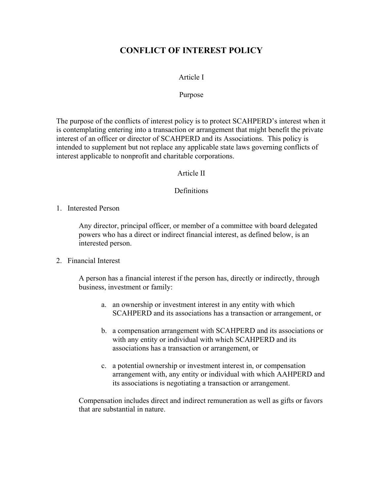# **CONFLICT OF INTEREST POLICY**

## Article I

#### Purpose

The purpose of the conflicts of interest policy is to protect SCAHPERD's interest when it is contemplating entering into a transaction or arrangement that might benefit the private interest of an officer or director of SCAHPERD and its Associations. This policy is intended to supplement but not replace any applicable state laws governing conflicts of interest applicable to nonprofit and charitable corporations.

#### Article II

#### **Definitions**

1. Interested Person

Any director, principal officer, or member of a committee with board delegated powers who has a direct or indirect financial interest, as defined below, is an interested person.

#### 2. Financial Interest

A person has a financial interest if the person has, directly or indirectly, through business, investment or family:

- a. an ownership or investment interest in any entity with which SCAHPERD and its associations has a transaction or arrangement, or
- b. a compensation arrangement with SCAHPERD and its associations or with any entity or individual with which SCAHPERD and its associations has a transaction or arrangement, or
- c. a potential ownership or investment interest in, or compensation arrangement with, any entity or individual with which AAHPERD and its associations is negotiating a transaction or arrangement.

Compensation includes direct and indirect remuneration as well as gifts or favors that are substantial in nature.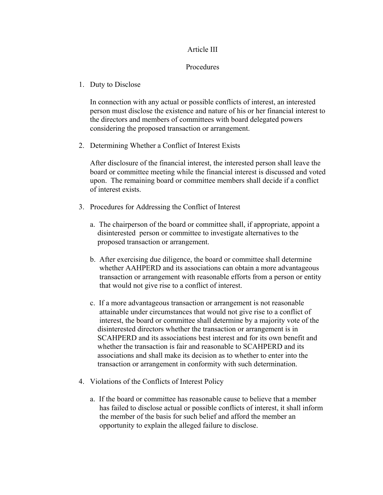## Article III

#### **Procedures**

1. Duty to Disclose

In connection with any actual or possible conflicts of interest, an interested person must disclose the existence and nature of his or her financial interest to the directors and members of committees with board delegated powers considering the proposed transaction or arrangement.

2. Determining Whether a Conflict of Interest Exists

After disclosure of the financial interest, the interested person shall leave the board or committee meeting while the financial interest is discussed and voted upon. The remaining board or committee members shall decide if a conflict of interest exists.

- 3. Procedures for Addressing the Conflict of Interest
	- a. The chairperson of the board or committee shall, if appropriate, appoint a disinterested person or committee to investigate alternatives to the proposed transaction or arrangement.
	- b. After exercising due diligence, the board or committee shall determine whether AAHPERD and its associations can obtain a more advantageous transaction or arrangement with reasonable efforts from a person or entity that would not give rise to a conflict of interest.
	- c. If a more advantageous transaction or arrangement is not reasonable attainable under circumstances that would not give rise to a conflict of interest, the board or committee shall determine by a majority vote of the disinterested directors whether the transaction or arrangement is in SCAHPERD and its associations best interest and for its own benefit and whether the transaction is fair and reasonable to SCAHPERD and its associations and shall make its decision as to whether to enter into the transaction or arrangement in conformity with such determination.
- 4. Violations of the Conflicts of Interest Policy
	- a. If the board or committee has reasonable cause to believe that a member has failed to disclose actual or possible conflicts of interest, it shall inform the member of the basis for such belief and afford the member an opportunity to explain the alleged failure to disclose.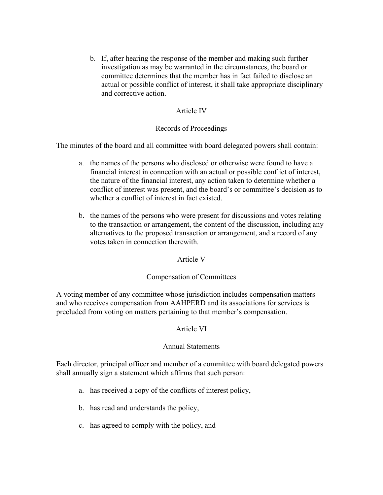b. If, after hearing the response of the member and making such further investigation as may be warranted in the circumstances, the board or committee determines that the member has in fact failed to disclose an actual or possible conflict of interest, it shall take appropriate disciplinary and corrective action.

# Article IV

# Records of Proceedings

The minutes of the board and all committee with board delegated powers shall contain:

- a. the names of the persons who disclosed or otherwise were found to have a financial interest in connection with an actual or possible conflict of interest, the nature of the financial interest, any action taken to determine whether a conflict of interest was present, and the board's or committee's decision as to whether a conflict of interest in fact existed.
- b. the names of the persons who were present for discussions and votes relating to the transaction or arrangement, the content of the discussion, including any alternatives to the proposed transaction or arrangement, and a record of any votes taken in connection therewith.

# Article V

# Compensation of Committees

A voting member of any committee whose jurisdiction includes compensation matters and who receives compensation from AAHPERD and its associations for services is precluded from voting on matters pertaining to that member's compensation.

# Article VI

# Annual Statements

Each director, principal officer and member of a committee with board delegated powers shall annually sign a statement which affirms that such person:

- a. has received a copy of the conflicts of interest policy,
- b. has read and understands the policy,
- c. has agreed to comply with the policy, and